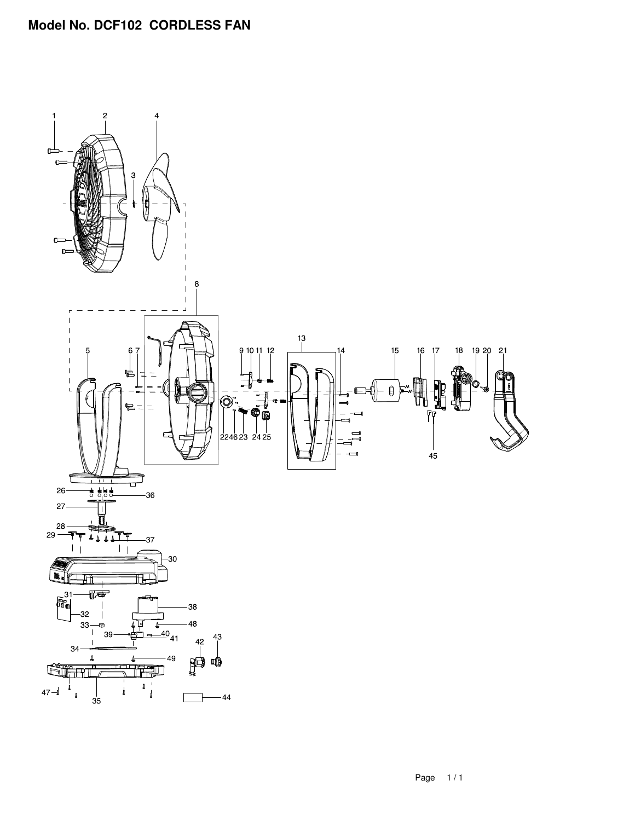## **Model No. DCF102 CORDLESS FAN**

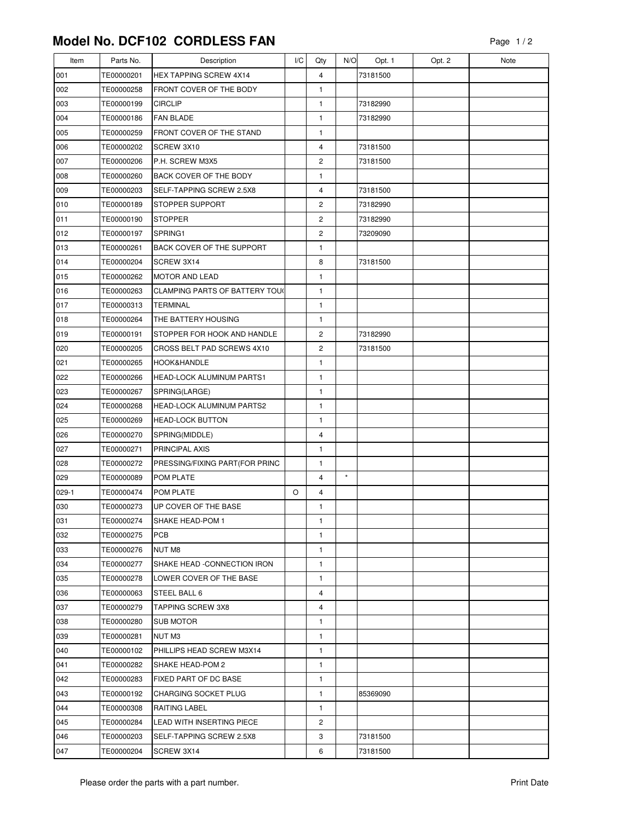## **Model No. DCF102 CORDLESS FAN**

| Item    | Parts No.  | Description                           | I/C | Qty                     | N/O      | Opt. 1   | Opt. 2 | Note |
|---------|------------|---------------------------------------|-----|-------------------------|----------|----------|--------|------|
| 001     | TE00000201 | <b>HEX TAPPING SCREW 4X14</b>         |     | 4                       |          | 73181500 |        |      |
| 002     | TE00000258 | FRONT COVER OF THE BODY               |     | 1                       |          |          |        |      |
| 003     | TE00000199 | <b>CIRCLIP</b>                        |     | 1                       |          | 73182990 |        |      |
| 004     | TE00000186 | <b>FAN BLADE</b>                      |     | 1                       |          | 73182990 |        |      |
| 005     | TE00000259 | FRONT COVER OF THE STAND              |     | 1                       |          |          |        |      |
| 006     | TE00000202 | SCREW 3X10                            |     | 4                       |          | 73181500 |        |      |
| 007     | TE00000206 | P.H. SCREW M3X5                       |     | 2                       |          | 73181500 |        |      |
| 008     | TE00000260 | <b>BACK COVER OF THE BODY</b>         |     | $\mathbf{1}$            |          |          |        |      |
| 009     | TE00000203 | SELF-TAPPING SCREW 2.5X8              |     | 4                       |          | 73181500 |        |      |
| 010     | TE00000189 | STOPPER SUPPORT                       |     | 2                       |          | 73182990 |        |      |
| 011     | TE00000190 | <b>STOPPER</b>                        |     | $\overline{\mathbf{c}}$ |          | 73182990 |        |      |
| 012     | TE00000197 | SPRING1                               |     | $\overline{c}$          |          | 73209090 |        |      |
| 013     | TE00000261 | BACK COVER OF THE SUPPORT             |     | 1                       |          |          |        |      |
| 014     | TE00000204 | SCREW 3X14                            |     | 8                       |          | 73181500 |        |      |
| 015     | TE00000262 | MOTOR AND LEAD                        |     | 1                       |          |          |        |      |
| 016     | TE00000263 | <b>CLAMPING PARTS OF BATTERY TOUL</b> |     | $\mathbf{1}$            |          |          |        |      |
| 017     | TE00000313 | <b>TERMINAL</b>                       |     | 1                       |          |          |        |      |
| 018     | TE00000264 | THE BATTERY HOUSING                   |     | 1                       |          |          |        |      |
| 019     | TE00000191 | STOPPER FOR HOOK AND HANDLE           |     | 2                       |          | 73182990 |        |      |
| 020     | TE00000205 | CROSS BELT PAD SCREWS 4X10            |     | $\overline{\mathbf{c}}$ |          | 73181500 |        |      |
| 021     | TE00000265 | <b>HOOK&amp;HANDLE</b>                |     | 1                       |          |          |        |      |
| 022     | TE00000266 | <b>HEAD-LOCK ALUMINUM PARTS1</b>      |     | 1                       |          |          |        |      |
| 023     | TE00000267 | SPRING(LARGE)                         |     | 1                       |          |          |        |      |
| 024     | TE00000268 | HEAD-LOCK ALUMINUM PARTS2             |     | $\mathbf{1}$            |          |          |        |      |
| 025     | TE00000269 | <b>HEAD-LOCK BUTTON</b>               |     | 1                       |          |          |        |      |
| 026     | TE00000270 | SPRING(MIDDLE)                        |     | 4                       |          |          |        |      |
| 027     | TE00000271 | PRINCIPAL AXIS                        |     | 1                       |          |          |        |      |
| 028     | TE00000272 | PRESSING/FIXING PART(FOR PRINC        |     | 1                       |          |          |        |      |
| 029     | TE00000089 | POM PLATE                             |     | 4                       | $^\star$ |          |        |      |
| $029-1$ | TE00000474 | <b>POM PLATE</b>                      | O   | 4                       |          |          |        |      |
| 030     | TE00000273 | UP COVER OF THE BASE                  |     | 1                       |          |          |        |      |
| 031     | TE00000274 | SHAKE HEAD-POM 1                      |     | 1                       |          |          |        |      |
| 032     | TE00000275 | PCB                                   |     | 1                       |          |          |        |      |
| 033     | TE00000276 | NUT M8                                |     | 1                       |          |          |        |      |
| 034     | TE00000277 | SHAKE HEAD -CONNECTION IRON           |     | 1                       |          |          |        |      |
| 035     | TE00000278 | LOWER COVER OF THE BASE               |     | 1                       |          |          |        |      |
| 036     | TE00000063 | STEEL BALL 6                          |     | 4                       |          |          |        |      |
| 037     | TE00000279 | <b>TAPPING SCREW 3X8</b>              |     | 4                       |          |          |        |      |
| 038     | TE00000280 | <b>SUB MOTOR</b>                      |     | 1                       |          |          |        |      |
| 039     | TE00000281 | NUT M3                                |     | $\mathbf{1}$            |          |          |        |      |
| 040     | TE00000102 | PHILLIPS HEAD SCREW M3X14             |     | 1                       |          |          |        |      |
| 041     | TE00000282 | SHAKE HEAD-POM 2                      |     | 1                       |          |          |        |      |
| 042     | TE00000283 | FIXED PART OF DC BASE                 |     | 1                       |          |          |        |      |
| 043     | TE00000192 | CHARGING SOCKET PLUG                  |     | 1                       |          | 85369090 |        |      |
| 044     | TE00000308 | <b>RAITING LABEL</b>                  |     | 1                       |          |          |        |      |
| 045     | TE00000284 | LEAD WITH INSERTING PIECE             |     | 2                       |          |          |        |      |
| 046     | TE00000203 | SELF-TAPPING SCREW 2.5X8              |     | 3                       |          | 73181500 |        |      |
| 047     | TE00000204 | SCREW 3X14                            |     | 6                       |          | 73181500 |        |      |